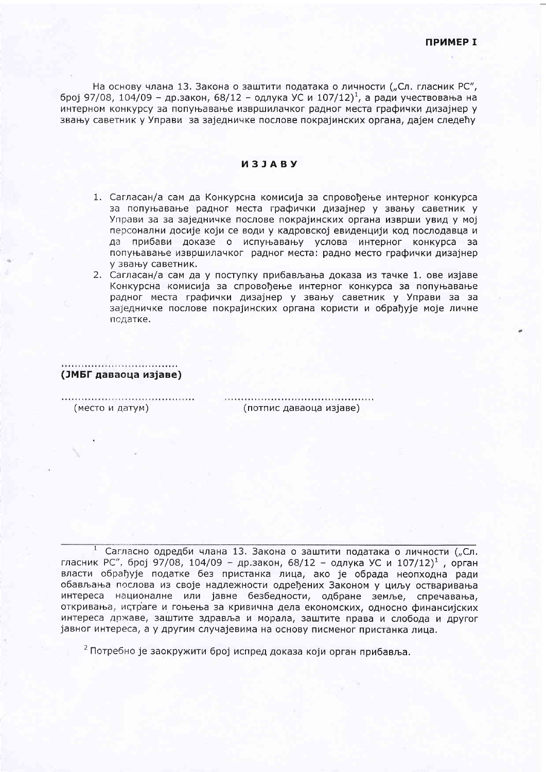На основу члана 13. Закона о заштити података о личности ("Сл. гласник РС", број 97/08, 104/09 - др.закон, 68/12 - одлука УС и 107/12)<sup>1</sup>, а ради учествовања на интерном конкурсу за попуњавање извршилачког радног места графички дизајнер у звању саветник у Управи за заједничке послове покрајинских органа, дајем следећу

## *M***3JABY**

- 1. Сагласан/а сам да Конкурсна комисија за спровођење интерног конкурса за попуњавање радног места графички дизајнер у звању саветник у Управи за за заједничке послове покрајинских органа изврши увид у мој персонални досије који се води у кадровској евиденцији код послодавца и да прибави доказе о испуњавању услова интерног конкурса за попуњавање извршилачког радног места: радно место графички дизајнер у звању саветник.
- 2. Сагласан/а сам да у поступку прибављања доказа из тачке 1. ове изјаве Конкурсна комисија за спровођење интерног конкурса за попуњавање радног места графички дизајнер у звању саветник у Управи за за заједничке послове покрајинских органа користи и обрађује моје личне податке.

## <u> Alexandria de la componentación de la componentación de la componentación de la componentación de la componentación de la componentación de la componentación de la componentación de la componentación de la componentación</u> (ЈМБГ даваоца изјаве)

(место и датум)

(потпис даваоца изјаве)

<sup>1</sup> Сагласно одредби члана 13. Закона о заштити података о личности ("Сл. гласник РС", број 97/08, 104/09 - др.закон, 68/12 - одлука УС и 107/12)<sup>1</sup>, орган власти обрађује податке без пристанка лица, ако је обрада неопходна ради обављања послова из своје надлежности одређених Законом у циљу остваривања интереса националне или јавне безбедности, одбране земље, спречавања, откривања, истраге и гоњења за кривична дела економских, односно финансијских интереса државе, заштите здравља и морала, заштите права и слобода и другог јавног интереса, а у другим случајевима на основу писменог пристанка лица.

<sup>2</sup> Потребно је заокружити број испред доказа који орган прибавља.